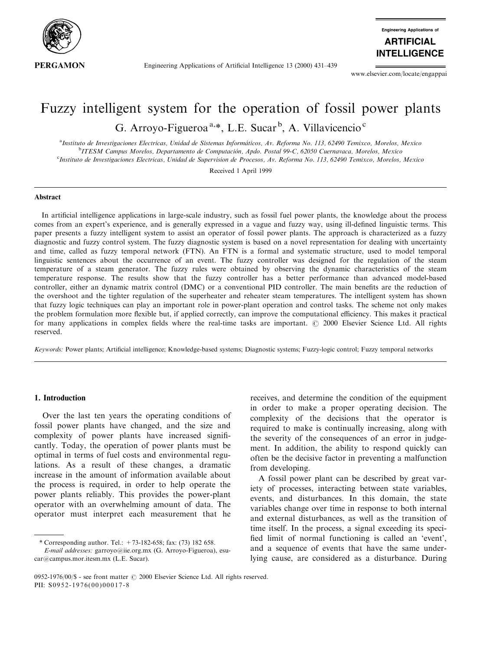

Engineering Applications of Artificial Intelligence 13 (2000) 431–439

**Engineering Applications of ARTIFICIAL INTELLIGENCE** 

www.elsevier.com/locate/engappai

# Fuzzy intelligent system for the operation of fossil power plants G. Arroyo-Figueroa<sup>a,\*</sup>, L.E. Sucar<sup>b</sup>, A. Villavicencio<sup>c</sup>

<sup>a</sup>Instituto de Investigaciones Electricas, Unidad de Sistemas Informáticos, Av. Reforma No. 113, 62490 Temixco, Morelos, Mexico<br>PITESM Cannus Morelos, Denartamento de Computación, Ando, Postal 99 C. 62950 Cuarnayaca, More <sup>b</sup>ITESM Campus Morelos, Departamento de Computación, Apdo. Postal 99-C, 62050 Cuernavaca, Morelos, Mexico c Instituto de Investigaciones Electricas, Unidad de Supervision de Procesos, Av. Reforma No. 113, 62490 Temixco, Morelos, Mexico

Received 1 April 1999

#### Abstract

In artificial intelligence applications in large-scale industry, such as fossil fuel power plants, the knowledge about the process comes from an expert's experience, and is generally expressed in a vague and fuzzy way, using ill-defined linguistic terms. This paper presents a fuzzy intelligent system to assist an operator of fossil power plants. The approach is characterized as a fuzzy diagnostic and fuzzy control system. The fuzzy diagnostic system is based on a novel representation for dealing with uncertainty and time, called as fuzzy temporal network (FTN). An FTN is a formal and systematic structure, used to model temporal linguistic sentences about the occurrence of an event. The fuzzy controller was designed for the regulation of the steam temperature of a steam generator. The fuzzy rules were obtained by observing the dynamic characteristics of the steam temperature response. The results show that the fuzzy controller has a better performance than advanced model-based controller, either an dynamic matrix control (DMC) or a conventional PID controller. The main benefits are the reduction of the overshoot and the tighter regulation of the superheater and reheater steam temperatures. The intelligent system has shown that fuzzy logic techniques can play an important role in power-plant operation and control tasks. The scheme not only makes the problem formulation more flexible but, if applied correctly, can improve the computational efficiency. This makes it practical for many applications in complex fields where the real-time tasks are important. © 2000 Elsevier Science Ltd. All rights reserved.

Keywords: Power plants; Artificial intelligence; Knowledge-based systems; Diagnostic systems; Fuzzy-logic control; Fuzzy temporal networks

### 1. Introduction

Over the last ten years the operating conditions of fossil power plants have changed, and the size and complexity of power plants have increased significantly. Today, the operation of power plants must be optimal in terms of fuel costs and environmental regulations. As a result of these changes, a dramatic increase in the amount of information available about the process is required, in order to help operate the power plants reliably. This provides the power-plant operator with an overwhelming amount of data. The operator must interpret each measurement that he

\* Corresponding author. Tel.: +73-182-658; fax: (73) 182 658.

receives, and determine the condition of the equipment in order to make a proper operating decision. The complexity of the decisions that the operator is required to make is continually increasing, along with the severity of the consequences of an error in judgement. In addition, the ability to respond quickly can often be the decisive factor in preventing a malfunction from developing.

A fossil power plant can be described by great variety of processes, interacting between state variables, events, and disturbances. In this domain, the state variables change over time in response to both internal and external disturbances, as well as the transition of time itself. In the process, a signal exceeding its speci fied limit of normal functioning is called an 'event', and a sequence of events that have the same underlying cause, are considered as a disturbance. During

E-mail addresses: garroyo@iie.org.mx (G. Arroyo-Figueroa), esucar@campus.mor.itesm.mx (L.E. Sucar).

<sup>0952-1976/00/\$ -</sup> see front matter  $\odot$  2000 Elsevier Science Ltd. All rights reserved. PII: S0952-1976(00)00017-8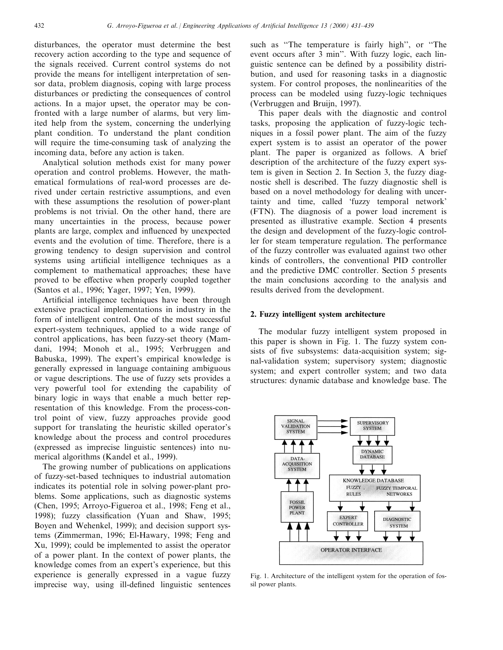disturbances, the operator must determine the best recovery action according to the type and sequence of the signals received. Current control systems do not provide the means for intelligent interpretation of sensor data, problem diagnosis, coping with large process disturbances or predicting the consequences of control actions. In a major upset, the operator may be confronted with a large number of alarms, but very limited help from the system, concerning the underlying plant condition. To understand the plant condition will require the time-consuming task of analyzing the incoming data, before any action is taken.

Analytical solution methods exist for many power operation and control problems. However, the mathematical formulations of real-word processes are derived under certain restrictive assumptions, and even with these assumptions the resolution of power-plant problems is not trivial. On the other hand, there are many uncertainties in the process, because power plants are large, complex and influenced by unexpected events and the evolution of time. Therefore, there is a growing tendency to design supervision and control systems using artificial intelligence techniques as a complement to mathematical approaches; these have proved to be effective when properly coupled together (Santos et al., 1996; Yager, 1997; Yen, 1999).

Artificial intelligence techniques have been through extensive practical implementations in industry in the form of intelligent control. One of the most successful expert-system techniques, applied to a wide range of control applications, has been fuzzy-set theory (Mamdani, 1994; Monoh et al., 1995; Verbruggen and Babuska, 1999). The expert's empirical knowledge is generally expressed in language containing ambiguous or vague descriptions. The use of fuzzy sets provides a very powerful tool for extending the capability of binary logic in ways that enable a much better representation of this knowledge. From the process-control point of view, fuzzy approaches provide good support for translating the heuristic skilled operator's knowledge about the process and control procedures (expressed as imprecise linguistic sentences) into numerical algorithms (Kandel et al., 1999).

The growing number of publications on applications of fuzzy-set-based techniques to industrial automation indicates its potential role in solving power-plant problems. Some applications, such as diagnostic systems (Chen, 1995; Arroyo-Figueroa et al., 1998; Feng et al., 1998); fuzzy classification (Yuan and Shaw, 1995; Boyen and Wehenkel, 1999); and decision support systems (Zimmerman, 1996; El-Hawary, 1998; Feng and Xu, 1999); could be implemented to assist the operator of a power plant. In the context of power plants, the knowledge comes from an expert's experience, but this experience is generally expressed in a vague fuzzy imprecise way, using ill-defined linguistic sentences

such as "The temperature is fairly high", or "The event occurs after 3 min''. With fuzzy logic, each linguistic sentence can be defined by a possibility distribution, and used for reasoning tasks in a diagnostic system. For control proposes, the nonlinearities of the process can be modeled using fuzzy-logic techniques (Verbruggen and Bruijn, 1997).

This paper deals with the diagnostic and control tasks, proposing the application of fuzzy-logic techniques in a fossil power plant. The aim of the fuzzy expert system is to assist an operator of the power plant. The paper is organized as follows. A brief description of the architecture of the fuzzy expert system is given in Section 2. In Section 3, the fuzzy diagnostic shell is described. The fuzzy diagnostic shell is based on a novel methodology for dealing with uncertainty and time, called `fuzzy temporal network' (FTN). The diagnosis of a power load increment is presented as illustrative example. Section 4 presents the design and development of the fuzzy-logic controller for steam temperature regulation. The performance of the fuzzy controller was evaluated against two other kinds of controllers, the conventional PID controller and the predictive DMC controller. Section 5 presents the main conclusions according to the analysis and results derived from the development.

### 2. Fuzzy intelligent system architecture

The modular fuzzy intelligent system proposed in this paper is shown in Fig. 1. The fuzzy system consists of five subsystems: data-acquisition system; signal-validation system; supervisory system; diagnostic system; and expert controller system; and two data structures: dynamic database and knowledge base. The



Fig. 1. Architecture of the intelligent system for the operation of fossil power plants.